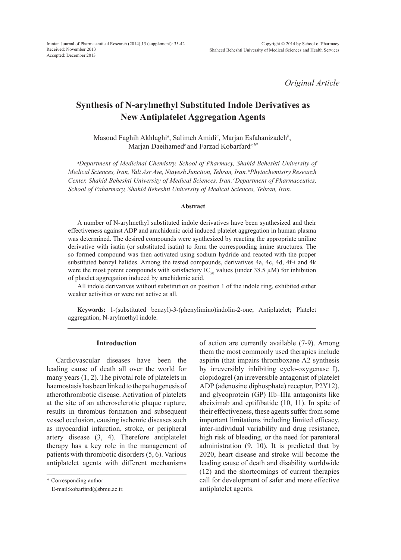*Original Article*

# **Synthesis of N-arylmethyl Substituted Indole Derivatives as New Antiplatelet Aggregation Agents**

Masoud Faghih Akhlaghi<sup>a</sup>, Salimeh Amidi<sup>a</sup>, Marjan Esfahanizadeh<sup>b</sup>, Marjan Daeihamed*<sup>c</sup>*and Farzad Kobarfard*a,b\**

a *Department of Medicinal Chemistry, School of Pharmacy, Shahid Beheshti University of Medical Sciences, Iran, Vali Asr Ave, Niayesh Junction, Tehran, Iran. bPhytochemistry Research Center, Shahid Beheshti University of Medical Sciences, Iran. cDepartment of Pharmaceutics, School of Paharmacy, Shahid Beheshti University of Medical Sciences, Tehran, Iran.*

#### **Abstract**

A number of N-arylmethyl substituted indole derivatives have been synthesized and their effectiveness against ADP and arachidonic acid induced platelet aggregation in human plasma was determined. The desired compounds were synthesized by reacting the appropriate aniline derivative with isatin (or substituted isatin) to form the corresponding imine structures. The so formed compound was then activated using sodium hydride and reacted with the proper substituted benzyl halides. Among the tested compounds, derivatives 4a, 4c, 4d, 4f-i and 4k were the most potent compounds with satisfactory  $IC_{50}$  values (under 38.5  $\mu$ M) for inhibition of platelet aggregation induced by arachidonic acid.

All indole derivatives without substitution on position 1 of the indole ring, exhibited either weaker activities or were not active at all.

**Keywords:** 1-(substituted benzyl)-3-(phenylimino)indolin-2-one; Antiplatelet; Platelet aggregation; N-arylmethyl indole.

### **Introduction**

Cardiovascular diseases have been the leading cause of death all over the world for many years (1, 2). The pivotal role of platelets in haemostasis has been linked to the pathogenesis of atherothrombotic disease. Activation of platelets at the site of an atherosclerotic plaque rupture, results in thrombus formation and subsequent vessel occlusion, causing ischemic diseases such as myocardial infarction, stroke, or peripheral artery disease (3, 4). Therefore antiplatelet therapy has a key role in the management of patients with thrombotic disorders (5, 6). Various antiplatelet agents with different mechanisms

\* Corresponding author:

E-mail:kobarfard@sbmu.ac.ir.

of action are currently available (7-9). Among them the most commonly used therapies include aspirin (that impairs thromboxane A2 synthesis by irreversibly inhibiting cyclo-oxygenase I), clopidogrel (an irreversible antagonist of platelet ADP (adenosine diphosphate) receptor, P2Y12), and glycoprotein (GP) IIb–IIIa antagonists like abciximab and eptifibatide (10, 11). In spite of their effectiveness, these agents suffer from some important limitations including limited efficacy, inter-individual variability and drug resistance, high risk of bleeding, or the need for parenteral administration (9, 10). It is predicted that by 2020, heart disease and stroke will become the leading cause of death and disability worldwide (12) and the shortcomings of current therapies call for development of safer and more effective antiplatelet agents.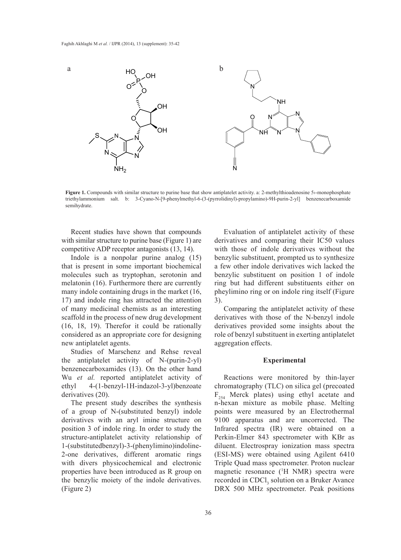

**Figure 1.** Compounds with similar structure to purine base that show antiplatelet activity. a: 2-methylthioadenosine 5>-monophosphate triethylammonium salt. b: 3-Cyano-N-[9-phenylmethyl-6-(3-(pyrrolidinyl)-propylamino)-9H-purin-2-yl] benzenecarboxamide semihydrate.

Recent studies have shown that compounds with similar structure to purine base (Figure 1) are competitive ADP receptor antagonists (13, 14).

Indole is a nonpolar purine analog (15) that is present in some important biochemical molecules such as tryptophan, serotonin and melatonin (16). Furthermore there are currently many indole containing drugs in the market (16, 17) and indole ring has attracted the attention of many medicinal chemists as an interesting scaffold in the process of new drug development (16, 18, 19). Therefor it could be rationally considered as an appropriate core for designing new antiplatelet agents.

Studies of Marschenz and Rehse reveal the antiplatelet activity of N-(purin-2-yl) benzenecarboxamides (13). On the other hand Wu *et al.* reported antiplatelet activity of ethyl 4-(1-benzyl-1H-indazol-3-yl)benzoate derivatives (20).

The present study describes the synthesis of a group of N-(substituted benzyl) indole derivatives with an aryl imine structure on position 3 of indole ring. In order to study the structure-antiplatelet activity relationship of 1-(substitutedbenzyl)-3-(phenylimino)indoline-2-one derivatives, different aromatic rings with divers physicochemical and electronic properties have been introduced as R group on the benzylic moiety of the indole derivatives. (Figure 2)

Evaluation of antiplatelet activity of these derivatives and comparing their IC50 values with those of indole derivatives without the benzylic substituent, prompted us to synthesize a few other indole derivatives wich lacked the benzylic substituent on position 1 of indole ring but had different substituents either on pheylimino ring or on indole ring itself (Figure 3).

Comparing the antiplatelet activity of these derivatives with those of the N-benzyl indole derivatives provided some insights about the role of benzyl substituent in exerting antiplatelet aggregation effects.

### **Experimental**

Reactions were monitored by thin-layer chromatography (TLC) on silica gel (precoated  $F_{254}$  Merck plates) using ethyl acetate and n-hexan mixture as mobile phase. Melting points were measured by an Electrothermal 9100 apparatus and are uncorrected. The Infrared spectra (IR) were obtained on a Perkin-Elmer 843 spectrometer with KBr as diluent. Electrospray ionization mass spectra (ESI-MS) were obtained using Agilent 6410 Triple Quad mass spectrometer. Proton nuclear magnetic resonance (1 H NMR) spectra were recorded in CDCl<sub>3</sub> solution on a Bruker Avance DRX 500 MHz spectrometer. Peak positions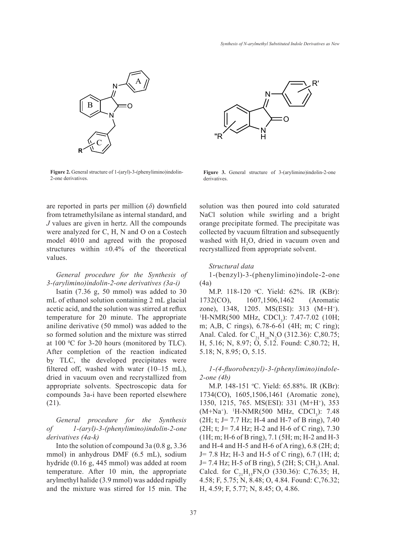

**Figure 2.** General structure of 1-(aryl)-3-(phenylimino)indolin-2-one derivatives.



**Figure 3.** General structure of 3-(arylimino)indolin-2-one derivatives.

are reported in parts per million (*δ*) downfield from tetramethylsilane as internal standard, and *J* values are given in hertz. All the compounds were analyzed for C, H, N and O on a Costech model 4010 and agreed with the proposed structures within  $\pm 0.4\%$  of the theoretical values.

# *General procedure for the Synthesis of 3-(arylimino)indolin-2-one derivatives (3a-i)*

Isatin (7.36 g, 50 mmol) was added to 30 mL of ethanol solution containing 2 mL glacial acetic acid, and the solution was stirred at reflux temperature for 20 minute. The appropriate aniline derivative (50 mmol) was added to the so formed solution and the mixture was stirred at  $100 \, \text{°C}$  for 3-20 hours (monitored by TLC). After completion of the reaction indicated by TLC, the developed precipitates were filtered off, washed with water (10–15 mL), dried in vacuum oven and recrystallized from appropriate solvents. Spectroscopic data for compounds 3a-i have been reported elsewhere (21).

# *General procedure for the Synthesis of 1-(aryl)-3-(phenylimino)indolin-2-one derivatives (4a-k)*

Into the solution of compound 3a (0.8 g, 3.36 mmol) in anhydrous DMF (6.5 mL), sodium hydride (0.16 g, 445 mmol) was added at room temperature. After 10 min, the appropriate arylmethyl halide (3.9 mmol) was added rapidly and the mixture was stirred for 15 min. The solution was then poured into cold saturated NaCl solution while swirling and a bright orange precipitate formed. The precipitate was collected by vacuum filtration and subsequently washed with  $H_2O$ , dried in vacuum oven and recrystallized from appropriate solvent.

### *Structural data*

1-(benzyl)-3-(phenylimino)indole-2-one (4a)

M.P. 118-120 °C. Yield: 62%. IR (KBr): 1732(CO), 1607,1506,1462 (Aromatic zone), 1348, 1205. MS(ESI): 313 (M+H<sup>+</sup>).  $H\text{-NMR}(500 \text{ MHz}, \text{CDCl}_3)$ : 7.47-7.02 (10H; m; A,B, C rings), 6.78-6-61 (4H; m; C ring); Anal. Calcd. for  $C_{21}H_{16}N_2O$  (312.36): C,80.75; H, 5.16; N, 8.97; O, 5.12. Found: C,80.72; H, 5.18; N, 8.95; O, 5.15.

*1-(4-fluorobenzyl)-3-(phenylimino)indole-2-one (4b)*

M.P. 148-151 °C. Yield: 65.88%. IR (KBr): 1734(CO), 1605,1506,1461 (Aromatic zone), 1350, 1215, 765. MS(ESI): 331 (M+H+), 353  $(M+Na^{+})$ . <sup>1</sup>H-NMR(500 MHz, CDCl<sub>3</sub>): 7.48 (2H; t; J= 7.7 Hz; H-4 and H-7 of B ring), 7.40 (2H; t; J= 7.4 Hz; H-2 and H-6 of C ring), 7.30 (1H; m; H-6 of B ring), 7.1 (5H; m; H-2 and H-3 and H-4 and H-5 and H-6 of A ring), 6.8 (2H; d; J= 7.8 Hz; H-3 and H-5 of C ring), 6.7 (1H; d;  $J= 7.4$  Hz; H-5 of B ring), 5 (2H; S; CH<sub>2</sub>). Anal. Calcd. for  $C_{21}H_{15}FN_2O$  (330.36): C,76.35; H, 4.58; F, 5.75; N, 8.48; O, 4.84. Found: C,76.32; H, 4.59; F, 5.77; N, 8.45; O, 4.86.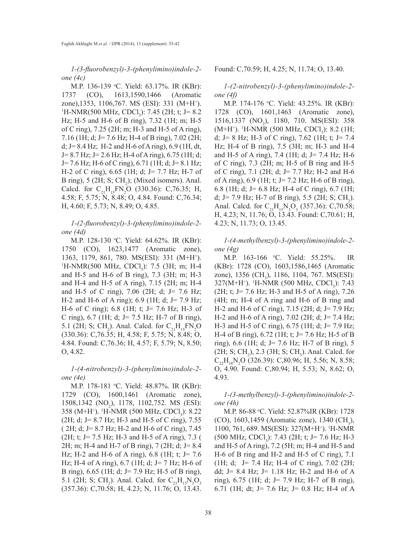*1-(3-fluorobenzyl)-3-(phenylimino)indole-2 one (4c)*

M.P. 136-139 °C. Yield: 63.17%. IR (KBr): 1737 (CO), 1613,1590,1466 (Aromatic zone),1353, 1106,767. MS (ESI): 331 (M+H<sup>+</sup>).<br><sup>1</sup>H-NMR(500 MHz, CDCL): 7.45 (2H·t·l= 8.2) H-NMR(500 MHz, CDCl<sub>3</sub>): 7.45 (2H; t; J= 8.2) Hz; H-5 and H-6 of B ring), 7.32 (1H; m; H-5 of C ring), 7.25 (2H; m; H-3 and H-5 of A ring), 7.16 (1H; d; J= 7.6 Hz; H-4 of B ring), 7.02 (2H; d; J =  $8.4$  Hz; H -  $2$  and H -  $6$  of A ring),  $6.9$  (1H, dt, J= 8.7 Hz; J= 2.6 Hz; H-4 of A ring), 6.75 (1H; d; J= 7.6 Hz; H-6 of C ring), 6.71 (1H; d; J= 8.1 Hz; H-2 of C ring), 6.65 (1H; d; J= 7.7 Hz; H-7 of B ring),  $5$  (2H; S; CH<sub>2</sub>); (Mixed isomers). Anal. Calcd. for  $C_{21}H_{15}FN_2O$  (330.36): C,76.35; H, 4.58; F, 5.75; N, 8.48; O, 4.84. Found: C,76.34; H, 4.60; F, 5.73; N, 8.49; O, 4.85.

*1-(2-fluorobenzyl)-3-(phenylimino)indole-2 one (4d)*

M.P. 128-130 °C. Yield: 64.62%. IR (KBr): 1750 (CO), 1623,1477 (Aromatic zone), 1363, 1179, 861, 780. MS(ESI): 331 (M+H<sup>+</sup>).<br><sup>1</sup>H-NMR(500 MHz, CDCl): 7.5 (3H; m; H<sub>-4</sub>) H-NMR(500 MHz, CDCl<sub>3</sub>): 7.5 (3H; m; H-4 and H-5 and H-6 of B ring), 7.3 (3H; m; H-3 and H-4 and H-5 of A ring), 7.15 (2H; m; H-4 and H-5 of C ring), 7.06 (2H; d; J= 7.6 Hz; H-2 and H-6 of A ring); 6.9 (1H; d; J= 7.9 Hz; H-6 of C ring); 6.8 (1H; t; J= 7.6 Hz; H-3 of C ring), 6.7 (1H; d; J= 7.5 Hz; H-7 of B ring), 5.1 (2H; S; CH<sub>2</sub>). Anal. Calcd. for  $C_{21}H_{15}FN_{2}O$ (330.36): C,76.35; H, 4.58; F, 5.75; N, 8.48; O, 4.84. Found: C,76.36; H, 4.57; F, 5.79; N, 8.50; O, 4.82.

*1-(4-nitrobenzyl)-3-(phenylimino)indole-2 one (4e)*

M.P. 178-181 °C. Yield: 48.87%. IR (KBr): 1729 (CO), 1600,1461 (Aromatic zone), 1508,1342 (NO<sub>2</sub>), 1178, 1102,752. MS (ESI): 358 (M+H<sup>+</sup>). <sup>1</sup>H-NMR (500 MHz, CDCl<sub>3</sub>): 8.22 (2H; d; J= 8.7 Hz; H-3 and H-5 of C ring), 7.55 ( 2H; d; J= 8.7 Hz; H-2 and H-6 of C ring), 7.45 (2H; t; J= 7.5 Hz; H-3 and H-5 of A ring), 7.3 ( 2H; m; H-4 and H-7 of B ring), 7 (2H; d; J= 8.4 Hz; H-2 and H-6 of A ring), 6.8 (1H; t; J= 7.6 Hz; H-4 of A ring), 6.7 (1H; d; J= 7 Hz; H-6 of B ring), 6.65 (1H; d; J= 7.9 Hz; H-5 of B ring), 5.1 (2H; S; CH<sub>2</sub>). Anal. Calcd. for  $C_{21}H_{15}N_3O_3$ (357.36): C,70.58; H, 4.23; N, 11.76; O, 13.43.

Found: C,70.59; H, 4.25; N, 11.74; O, 13.40.

*1-(2-nitrobenzyl)-3-(phenylimino)indole-2 one (4f)*

M.P. 174-176 °C. Yield: 43.25%. IR (KBr): 1728 (CO), 1601,1463 (Aromatic zone), 1516,1337 (NO<sub>2</sub>), 1180, 710. MS(ESI): 358  $(M+H<sup>+</sup>)$ . <sup>1</sup>H-NMR (500 MHz, CDCl<sub>3</sub>): 8.2 (1H; d; J = 8 Hz; H - 3 of C ring), 7.62 (1H; t; J = 7.4 Hz; H-4 of B ring), 7.5 (3H; m; H-3 and H-4 and H-5 of A ring), 7.4 (1H; d; J= 7.4 Hz; H-6 of C ring), 7.3 (2H; m; H-5 of B ring and H-5 of C ring), 7.1 (2H; d; J= 7.7 Hz; H-2 and H-6 of A ring), 6.9 (1H; t; J= 7.2 Hz; H-6 of B ring), 6.8 (1H; d; J= 6.8 Hz; H-4 of C ring), 6.7 (1H; d; J = 7.9 Hz; H-7 of B ring), 5.5 (2H; S; CH<sub>2</sub>). Anal. Calcd. for  $C_{21}H_{15}N_3O_3$  (357.36): C,70.58; H, 4.23; N, 11.76; O, 13.43. Found: C,70.61; H, 4.23; N, 11.73; O, 13.45.

*1-(4-methylbenzyl)-3-(phenylimino)indole-2 one (4g)*

M.P. 163-166 °C. Yield: 55.25%. IR (KBr): 1728 (CO), 1603,1586,1465 (Aromatic zone), 1356 (CH<sub>3</sub>), 1186, 1104, 767. MS(ESI):  $327(M+H<sup>+</sup>)$ . <sup>1</sup>H-NMR (500 MHz, CDCl<sub>3</sub>): 7.43 (2H; t; J= 7.6 Hz; H-3 and H-5 of A ring), 7.26 (4H; m; H-4 of A ring and H-6 of B ring and H-2 and H-6 of C ring), 7.15 (2H; d; J= 7.9 Hz; H-2 and H-6 of A ring), 7.02 (2H; d; J= 7.4 Hz; H-3 and H-5 of C ring), 6.75 (1H; d; J= 7.9 Hz; H-4 of B ring), 6.72 (1H; t; J= 7.6 Hz; H-5 of B ring), 6.6 (1H; d; J= 7.6 Hz; H-7 of B ring), 5  $(2H; S; CH<sub>2</sub>)$ , 2.3 (3H; S; CH<sub>3</sub>). Anal. Calcd. for  $C_{22}H_{18}N_2O$  (326.39): C,80.96; H, 5.56; N, 8.58; O, 4.90. Found: C,80.94; H, 5.53; N, 8.62; O, 4.93.

*1-(3-methylbenzyl)-3-(phenylimino)indole-2 one (4h)*

M.P. 86-88 °C. Yield: 52.87%IR (KBr): 1728  $(CO)$ , 1603, 1459 (Aromatic zone), 1340  $(CH_3)$ , 1100, 761, 689. MS(ESI): 327(M+H<sup>+</sup>). <sup>1</sup>H-NMR  $(500 \text{ MHz}, \text{CDCl}_3)$ : 7.43 (2H; t; J= 7.6 Hz; H-3 and H-5 of A ring), 7.2 (5H; m; H-4 and H-5 and H-6 of B ring and H-2 and H-5 of C ring), 7.1 (1H; d; J= 7.4 Hz; H-4 of C ring), 7.02 (2H; dd; J = 8.4 Hz; J = 1.18 Hz; H-2 and H-6 of A ring), 6.75 (1H; d; J= 7.9 Hz; H-7 of B ring), 6.71 (1H; dt; J= 7.6 Hz; J= 0.8 Hz; H-4 of A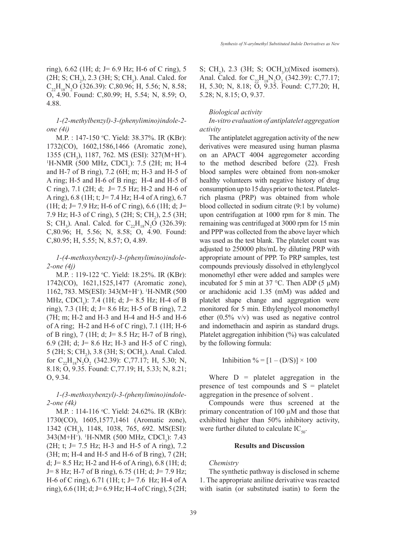ring), 6.62 (1H; d; J= 6.9 Hz; H-6 of C ring), 5  $(2H; S; CH<sub>2</sub>), 2.3 (3H; S; CH<sub>3</sub>).$  Anal. Calcd. for  $C_{22}H_{18}N_2O$  (326.39): C,80.96; H, 5.56; N, 8.58; O, 4.90. Found: C,80.99; H, 5.54; N, 8.59; O, 4.88.

*1-(2-methylbenzyl)-3-(phenylimino)indole-2 one (4i)*

M.P. : 147-150 °C. Yield: 38.37%. IR (KBr): 1732(CO), 1602,1586,1466 (Aromatic zone), 1355 (CH<sub>3</sub>), 1187, 762. MS (ESI): 327(M+H<sup>+</sup>).<br><sup>1</sup>H-NMR (500 MHz, CDCL): 7.5 (2H·m·H<sub>-4</sub>)  $H\text{-NMR}$  (500 MHz, CDCl<sub>3</sub>): 7.5 (2H; m; H-4 and H-7 of B ring), 7.2 (6H; m; H-3 and H-5 of A ring; H-5 and H-6 of B ring; H-4 and H-5 of C ring), 7.1 (2H; d; J= 7.5 Hz; H-2 and H-6 of A ring), 6.8 (1H; t; J= 7.4 Hz; H-4 of A ring), 6.7 (1H; d; J= 7.9 Hz; H-6 of C ring), 6.6 (1H; d; J= 7.9 Hz; H-3 of C ring), 5 (2H; S; CH<sub>2</sub>), 2.5 (3H; S; CH<sub>3</sub>). Anal. Calcd. for  $C_{22}H_{18}N_2O$  (326.39): C,80.96; H, 5.56; N, 8.58; O, 4.90. Found: C,80.95; H, 5.55; N, 8.57; O, 4.89.

# *1-(4-methoxybenzyl)-3-(phenylimino)indole-2-one (4j)*

M.P. : 119-122 °C. Yield: 18.25%. IR (KBr): 1742(CO), 1621,1525,1477 (Aromatic zone), 1162, 783. MS(ESI): 343(M+H+ ). 1 H-NMR (500 MHz, CDCl<sub>3</sub>): 7.4 (1H; d; J= 8.5 Hz; H-4 of B ring), 7.3 (1H; d; J= 8.6 Hz; H-5 of B ring), 7.2 (7H; m; H-2 and H-3 and H-4 and H-5 and H-6 of A ring; H-2 and H-6 of C ring), 7.1 (1H; H-6 of B ring), 7 (1H; d; J= 8.5 Hz; H-7 of B ring), 6.9 (2H; d; J= 8.6 Hz; H-3 and H-5 of C ring),  $5$  (2H; S; CH<sub>2</sub>), 3.8 (3H; S; OCH<sub>3</sub>). Anal. Calcd. for  $C_{22}H_{18}N_2O_2$  (342.39): C,77.17; H, 5.30; N, 8.18; O, 9.35. Found: C,77.19; H, 5.33; N, 8.21; O, 9.34.

## *1-(3-methoxybenzyl)-3-(phenylimino)indole-2-one (4k)*

M.P. : 114-116 °C. Yield: 24.62%. IR (KBr): 1730(CO), 1605,1577,1461 (Aromatic zone), 1342 (CH<sub>3</sub>), 1148, 1038, 765, 692. MS(ESI): 343(M+H<sup>+</sup>). <sup>1</sup>H-NMR (500 MHz, CDCl<sub>3</sub>): 7.43 (2H; t; J= 7.5 Hz; H-3 and H-5 of A ring), 7.2 (3H; m; H-4 and H-5 and H-6 of B ring), 7 (2H; d; J =  $8.5$  Hz; H-2 and H-6 of A ring), 6.8 (1H; d; J= 8 Hz; H-7 of B ring), 6.75 (1H; d; J= 7.9 Hz; H-6 of C ring), 6.71 (1H; t; J= 7.6 Hz; H-4 of A ring),  $6.6$  (1H; d; J= $6.9$  Hz; H-4 of C ring),  $5$  (2H;

S;  $CH_2$ ), 2.3 (3H; S; OCH<sub>3</sub>);(Mixed isomers). Anal. Calcd. for  $C_{22}H_{18}N_2O_2$  (342.39): C,77.17; H, 5.30; N, 8.18; O, 9.35. Found: C,77.20; H, 5.28; N, 8.15; O, 9.37.

### *Biological activity*

*In-vitro evaluation of antiplatelet aggregation activity*

The antiplatelet aggregation activity of the new derivatives were measured using human plasma on an APACT 4004 aggregometer according to the method described before (22). Fresh blood samples were obtained from non-smoker healthy volunteers with negative history of drug consumption up to 15 days prior to the test. Plateletrich plasma (PRP) was obtained from whole blood collected in sodium citrate (9:1 by volume) upon centrifugation at 1000 rpm for 8 min. The remaining was centrifuged at 3000 rpm for 15 min and PPP was collected from the above layer which was used as the test blank. The platelet count was adjusted to 250000 plts/mL by diluting PRP with appropriate amount of PPP. To PRP samples, test compounds previously dissolved in ethylenglycol monomethyl ether were added and samples were incubated for 5 min at 37 °C. Then ADP (5  $\mu$ M) or arachidonic acid 1.35 (mM) was added and platelet shape change and aggregation were monitored for 5 min. Ethylenglycol monomethyl ether (0.5% v/v) was used as negative control and indomethacin and aspirin as standard drugs. Platelet aggregation inhibition (%) was calculated by the following formula:

Inhibition % =  $[1 - (D/S)] \times 100$ 

Where  $D =$  platelet aggregation in the presence of test compounds and  $S =$  platelet aggregation in the presence of solvent .

Compounds were thus screened at the primary concentration of 100 µM and those that exhibited higher than 50% inhibitory activity, were further diluted to calculate  $IC_{50}$ .

### **Results and Discussion**

### *Chemistry*

The synthetic pathway is disclosed in scheme 1. The appropriate aniline derivative was reacted with isatin (or substituted isatin) to form the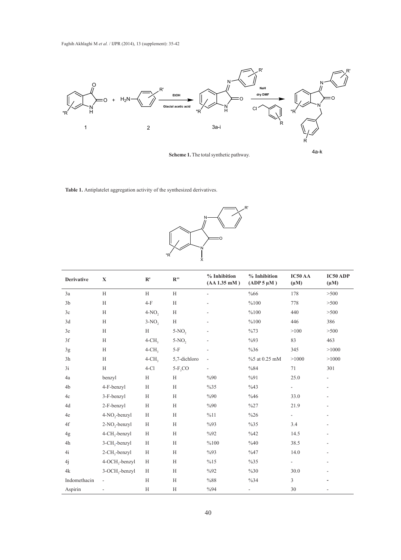

**Scheme 1.** The total synthetic pathway.

R'

4a-k

**Table 1.** Antiplatelet aggregation activity of the synthesized derivatives.



| <b>Derivative</b> | $\mathbf X$                | R'                   | R''          | % Inhibition<br>$(AA 1.35$ mM $)$ | % Inhibition<br>$(ADP 5 \mu M)$ | IC50 AA<br>$(\mu M)$     | <b>IC50 ADP</b><br>$(\mu M)$ |
|-------------------|----------------------------|----------------------|--------------|-----------------------------------|---------------------------------|--------------------------|------------------------------|
| 3a                | H                          | H                    | H            | $\overline{\phantom{a}}$          | %66                             | 178                      | >500                         |
| 3 <sub>b</sub>    | H                          | $4-F$                | H            |                                   | %100                            | 778                      | >500                         |
| 3c                | H                          | $4-NO,$              | H            |                                   | %100                            | 440                      | >500                         |
| 3d                | H                          | $3-NO2$              | H            |                                   | %100                            | 446                      | 386                          |
| 3e                | H                          | H                    | $5-NO$ ,     |                                   | %73                             | >100                     | >500                         |
| 3f                | H                          | $4$ -CH <sub>3</sub> | $5-NO$ ,     |                                   | $\%93$                          | 83                       | 463                          |
| 3g                | H                          | $4$ -CH <sub>3</sub> | $5-F$        |                                   | %36                             | 345                      | >1000                        |
| 3h                | H                          | $4$ -CH <sub>3</sub> | 5,7-dichloro |                                   | %5 at 0.25 mM                   | >1000                    | >1000                        |
| 3i                | H                          | $4-C1$               | $5-F_3CO$    |                                   | %84                             | 71                       | 301                          |
| 4a                | benzyl                     | H                    | H            | %90                               | %91                             | 25.0                     |                              |
| 4b                | 4-F-benzyl                 | H                    | H            | %35                               | %43                             |                          |                              |
| 4c                | 3-F-benzyl                 | H                    | H            | %90                               | %46                             | 33.0                     |                              |
| 4d                | 2-F-benzyl                 | H                    | H            | %90                               | $\%27$                          | 21.9                     |                              |
| 4e                | 4-NO <sub>2</sub> -benzyl  | H                    | H            | %11                               | $\%26$                          | $\overline{\phantom{0}}$ |                              |
| 4f                | $2-NO_2$ -benzyl           | H                    | H            | %93                               | %35                             | 3.4                      |                              |
| 4g                | 4-CH <sub>3</sub> -benzyl  | H                    | H            | %92                               | %42                             | 14.5                     |                              |
| 4h                | 3-CH <sub>3</sub> -benzyl  | H                    | H            | %100                              | %40                             | 38.5                     |                              |
| 4i                | 2-CH <sub>3</sub> -benzyl  | H                    | H            | $\%93$                            | %47                             | 14.0                     |                              |
| 4j                | 4-OCH <sub>3</sub> -benzyl | H                    | H            | %15                               | %35                             |                          |                              |
| 4k                | 3-OCH <sub>3</sub> -benzyl | H                    | H            | %92                               | $\%30$                          | 30.0                     |                              |
| Indomethacin      | $\overline{\phantom{a}}$   | H                    | H            | %88                               | %34                             | 3                        |                              |
| Aspirin           | L,                         | $\rm H$              | H            | %94                               | $\overline{\phantom{a}}$        | 30                       |                              |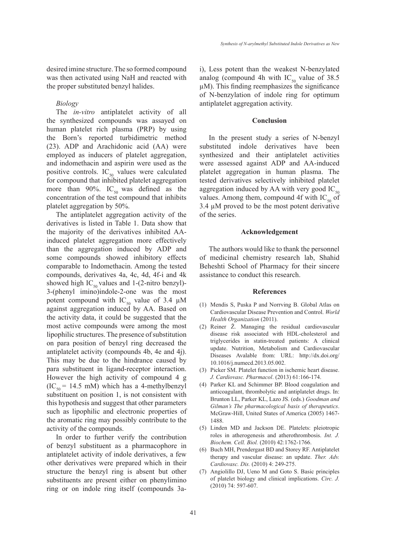desired imine structure. The so formed compound was then activated using NaH and reacted with the proper substituted benzyl halides.

### *Biology*

The *in-vitro* antiplatelet activity of all the synthesized compounds was assayed on human platelet rich plasma (PRP) by using the Born's reported turbidimetric method (23). ADP and Arachidonic acid (AA) were employed as inducers of platelet aggregation, and indomethacin and aspirin were used as the positive controls.  $IC_{50}$  values were calculated for compound that inhibited platelet aggregation more than 90%.  $IC_{50}$  was defined as the concentration of the test compound that inhibits platelet aggregation by 50%.

The antiplatelet aggregation activity of the derivatives is listed in Table 1. Data show that the majority of the derivatives inhibited AAinduced platelet aggregation more effectively than the aggregation induced by ADP and some compounds showed inhibitory effects comparable to Indomethacin. Among the tested compounds, derivatives 4a, 4c, 4d, 4f-i and 4k showed high IC<sub>50</sub> values and 1-(2-nitro benzyl)-3-(phenyl imino)indole-2-one was the most potent compound with  $IC_{50}$  value of 3.4  $\mu$ M against aggregation induced by AA. Based on the activity data, it could be suggested that the most active compounds were among the most lipophilic structures. The presence of substitution on para position of benzyl ring decreased the antiplatelet activity (compounds 4b, 4e and 4j). This may be due to the hindrance caused by para substituent in ligand-receptor interaction. However the high activity of compound 4 g  $(IC_{50} = 14.5 \text{ mM})$  which has a 4-methylbenzyl substituent on position 1, is not consistent with this hypothesis and suggest that other parameters such as lipophilic and electronic properties of the aromatic ring may possibly contribute to the activity of the compounds.

In order to further verify the contribution of benzyl substituent as a pharmacophore in antiplatelet activity of indole derivatives, a few other derivatives were prepared which in their structure the benzyl ring is absent but other substituents are present either on phenylimino ring or on indole ring itself (compounds 3ai), Less potent than the weakest N-benzylated analog (compound 4h with  $IC_{50}$  value of 38.5 µM). This finding reemphasizes the significance of N-benzylation of indole ring for optimum antiplatelet aggregation activity.

#### **Conclusion**

In the present study a series of N-benzyl substituted indole derivatives have been synthesized and their antiplatelet activities were assessed against ADP and AA-induced platelet aggregation in human plasma. The tested derivatives selectively inhibited platelet aggregation induced by AA with very good  $IC_{50}$ values. Among them, compound 4f with  $IC_{50}$  of 3.4 µM proved to be the most potent derivative of the series.

### **Acknowledgement**

The authors would like to thank the personnel of medicinal chemistry research lab, Shahid Beheshti School of Pharmacy for their sincere assistance to conduct this research.

#### **References**

- Mendis S, Puska P and Norrving B. Global Atlas on (1) Cardiovascular Disease Prevention and Control. *World Health Organization* (2011).
- (2) Reiner  $\ddot{Z}$ . Managing the residual cardiovascular disease risk associated with HDL-cholesterol and triglycerides in statin-treated patients: A clinical update. Nutrition, Metabolism and Cardiovascular Diseases Avalable from: URL: http://dx.doi.org/ 10.1016/j.numecd.2013.05.002.
- (3) Picker SM. Platelet function in ischemic heart disease. *J. Cardiovasc. Pharmacol*. (2013) 61:166-174.
- Parker KL and Schimmer BP. Blood coagulation and (4) anticoagulant, thrombolytic and antiplatelet drugs. In: Brunton LL, Parker KL, Lazo JS. (eds.) *Goodman and Gilman's The pharmacological basis of therapeutics*. McGraw-Hill, United States of America (2005) 1467- 1488.
- (5) Linden MD and Jackson DE. Platelets: pleiotropic roles in atherogenesis and atherothrombosis. *Int. J. Biochem. Cell. Biol.* (2010) 42:1762-1766.
- (6) Buch MH, Prendergast BD and Storey RF. Antiplatelet therapy and vascular disease: an update. *Ther. Adv. Cardiovasc. Dis.* (2010) 4: 249-275.
- Angiolillo DJ, Ueno M and Goto S. Basic principles (7)of platelet biology and clinical implications. *Circ. J.* (2010) 74: 597-607.